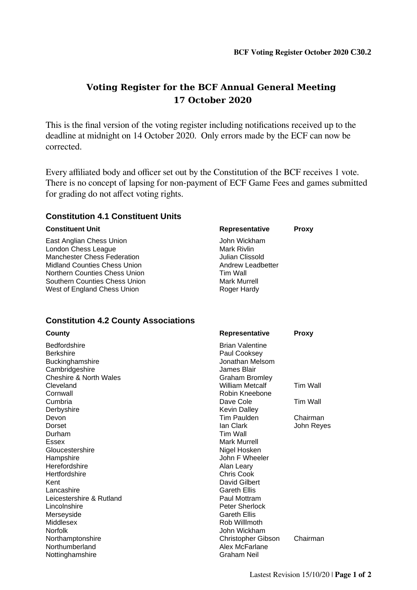# **Voting Register for the BCF Annual General Meeting 17 October 2020**

This is the final version of the voting register including notifications received up to the deadline at midnight on 14 October 2020. Only errors made by the ECF can now be corrected.

Every affiliated body and officer set out by the Constitution of the BCF receives 1 vote. There is no concept of lapsing for non-payment of ECF Game Fees and games submitted for grading do not affect voting rights.

## **Constitution 4.1 Constituent Units**

#### **Constituent Unit Representative Proxy**

East Anglian Chess Union **Figure 2018** John Wickham London Chess League<br>
Mark Rivlin<br>
Manchester Chess Federation<br>
Manchester Chess Federation Manchester Chess Federation<br>
Midland Counties Chess Union<br>
Midland Counties Chess Union<br>
Andrew Leadbetter Midland Counties Chess Union Northern Counties Chess Union Tim Wall Southern Counties Chess Union Mark Murrell West of England Chess Union Roger Hardy

## **Constitution 4.2 County Associations**

| <b>County</b>            | <b>Representative</b>     | <b>Proxy</b> |
|--------------------------|---------------------------|--------------|
| <b>Bedfordshire</b>      | <b>Brian Valentine</b>    |              |
| <b>Berkshire</b>         | Paul Cooksey              |              |
| Buckinghamshire          | Jonathan Melsom           |              |
| Cambridgeshire           | James Blair               |              |
| Cheshire & North Wales   | <b>Graham Bromley</b>     |              |
| Cleveland                | William Metcalf           | Tim Wall     |
| Cornwall                 | Robin Kneebone            |              |
| Cumbria                  | Dave Cole                 | Tim Wall     |
| Derbyshire               | <b>Kevin Dalley</b>       |              |
| Devon                    | Tim Paulden               | Chairman     |
| Dorset                   | lan Clark                 | John Reyes   |
| Durham                   | Tim Wall                  |              |
| <b>Essex</b>             | Mark Murrell              |              |
| Gloucestershire          | Nigel Hosken              |              |
| Hampshire                | John F Wheeler            |              |
| Herefordshire            | Alan Leary                |              |
| Hertfordshire            | Chris Cook                |              |
| Kent                     | David Gilbert             |              |
| Lancashire               | Gareth Ellis              |              |
| Leicestershire & Rutland | Paul Mottram              |              |
| Lincolnshire             | Peter Sherlock            |              |
| Merseyside               | Gareth Ellis              |              |
| Middlesex                | Rob Willlmoth             |              |
| <b>Norfolk</b>           | John Wickham              |              |
| Northamptonshire         | <b>Christopher Gibson</b> | Chairman     |
| Northumberland           | Alex McFarlane            |              |
| Nottinghamshire          | Graham Neil               |              |